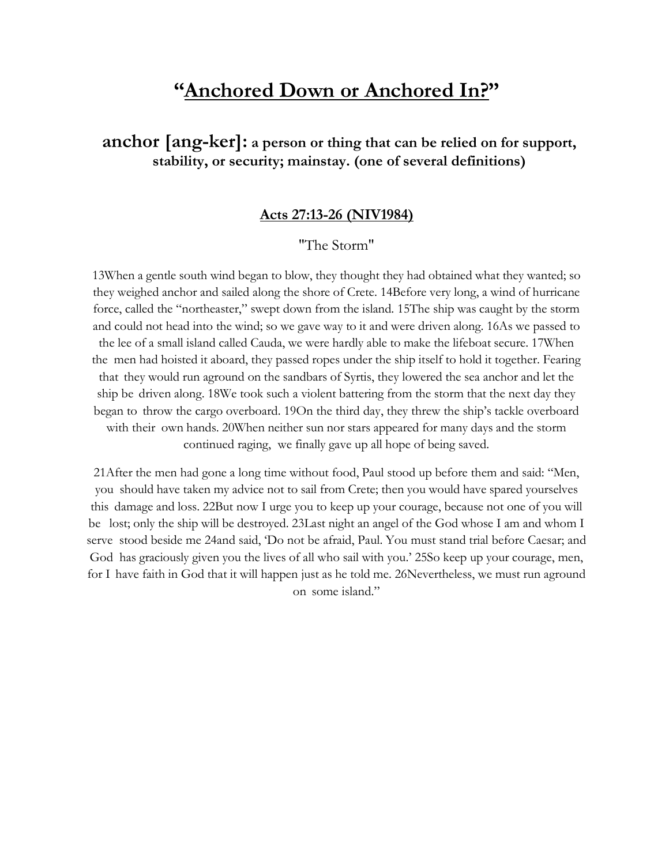# **"Anchored Down or Anchored In?"**

## **anchor [ang-ker]: a person or thing that can be relied on for support, stability, or security; mainstay. (one of several definitions)**

#### **Acts 27:13-26 (NIV1984)**

#### "The Storm"

13When a gentle south wind began to blow, they thought they had obtained what they wanted; so they weighed anchor and sailed along the shore of Crete. 14Before very long, a wind of hurricane force, called the "northeaster," swept down from the island. 15The ship was caught by the storm and could not head into the wind; so we gave way to it and were driven along. 16As we passed to the lee of a small island called Cauda, we were hardly able to make the lifeboat secure. 17When the men had hoisted it aboard, they passed ropes under the ship itself to hold it together. Fearing that they would run aground on the sandbars of Syrtis, they lowered the sea anchor and let the ship be driven along. 18We took such a violent battering from the storm that the next day they began to throw the cargo overboard. 19On the third day, they threw the ship's tackle overboard with their own hands. 20When neither sun nor stars appeared for many days and the storm continued raging, we finally gave up all hope of being saved.

21After the men had gone a long time without food, Paul stood up before them and said: "Men, you should have taken my advice not to sail from Crete; then you would have spared yourselves this damage and loss. 22But now I urge you to keep up your courage, because not one of you will be lost; only the ship will be destroyed. 23Last night an angel of the God whose I am and whom I serve stood beside me 24and said, 'Do not be afraid, Paul. You must stand trial before Caesar; and God has graciously given you the lives of all who sail with you.' 25So keep up your courage, men, for I have faith in God that it will happen just as he told me. 26Nevertheless, we must run aground on some island."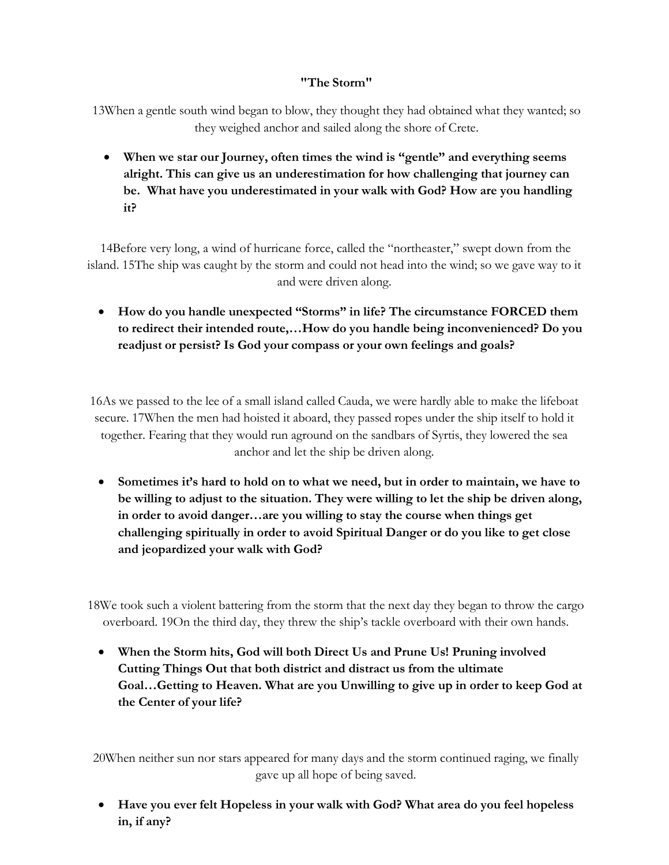#### **"The Storm"**

13When a gentle south wind began to blow, they thought they had obtained what they wanted; so they weighed anchor and sailed along the shore of Crete.

• **When we star our Journey, often times the wind is "gentle" and everything seems alright. This can give us an underestimation for how challenging that journey can be. What have you underestimated in your walk with God? How are you handling it?**

14Before very long, a wind of hurricane force, called the "northeaster," swept down from the island. 15The ship was caught by the storm and could not head into the wind; so we gave way to it and were driven along.

• **How do you handle unexpected "Storms" in life? The circumstance FORCED them to redirect their intended route,…How do you handle being inconvenienced? Do you readjust or persist? Is God your compass or your own feelings and goals?**

16As we passed to the lee of a small island called Cauda, we were hardly able to make the lifeboat secure. 17When the men had hoisted it aboard, they passed ropes under the ship itself to hold it together. Fearing that they would run aground on the sandbars of Syrtis, they lowered the sea anchor and let the ship be driven along.

• **Sometimes it's hard to hold on to what we need, but in order to maintain, we have to be willing to adjust to the situation. They were willing to let the ship be driven along, in order to avoid danger…are you willing to stay the course when things get challenging spiritually in order to avoid Spiritual Danger or do you like to get close and jeopardized your walk with God?**

18We took such a violent battering from the storm that the next day they began to throw the cargo overboard. 19On the third day, they threw the ship's tackle overboard with their own hands.

• **When the Storm hits, God will both Direct Us and Prune Us! Pruning involved Cutting Things Out that both district and distract us from the ultimate Goal…Getting to Heaven. What are you Unwilling to give up in order to keep God at the Center of your life?**

20When neither sun nor stars appeared for many days and the storm continued raging, we finally gave up all hope of being saved.

• **Have you ever felt Hopeless in your walk with God? What area do you feel hopeless in, if any?**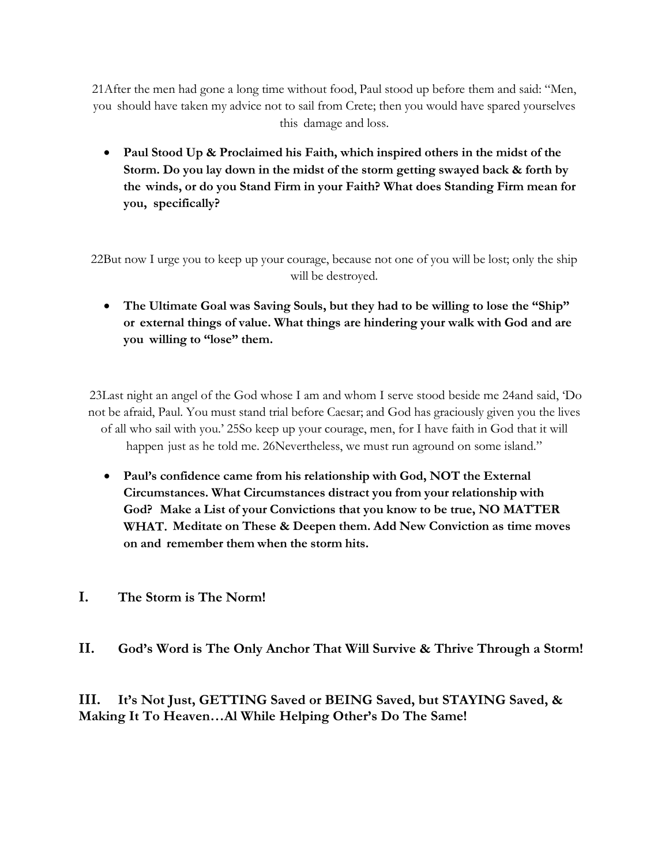21After the men had gone a long time without food, Paul stood up before them and said: "Men, you should have taken my advice not to sail from Crete; then you would have spared yourselves this damage and loss.

• **Paul Stood Up & Proclaimed his Faith, which inspired others in the midst of the Storm. Do you lay down in the midst of the storm getting swayed back & forth by the winds, or do you Stand Firm in your Faith? What does Standing Firm mean for you, specifically?**

22But now I urge you to keep up your courage, because not one of you will be lost; only the ship will be destroyed.

• **The Ultimate Goal was Saving Souls, but they had to be willing to lose the "Ship" or external things of value. What things are hindering your walk with God and are you willing to "lose" them.**

23Last night an angel of the God whose I am and whom I serve stood beside me 24and said, 'Do not be afraid, Paul. You must stand trial before Caesar; and God has graciously given you the lives of all who sail with you.' 25So keep up your courage, men, for I have faith in God that it will happen just as he told me. 26Nevertheless, we must run aground on some island."

- **Paul's confidence came from his relationship with God, NOT the External Circumstances. What Circumstances distract you from your relationship with God? Make a List of your Convictions that you know to be true, NO MATTER WHAT. Meditate on These & Deepen them. Add New Conviction as time moves on and remember them when the storm hits.**
- **I. The Storm is The Norm!**
- **II. God's Word is The Only Anchor That Will Survive & Thrive Through a Storm!**

**III. It's Not Just, GETTING Saved or BEING Saved, but STAYING Saved, & Making It To Heaven…Al While Helping Other's Do The Same!**